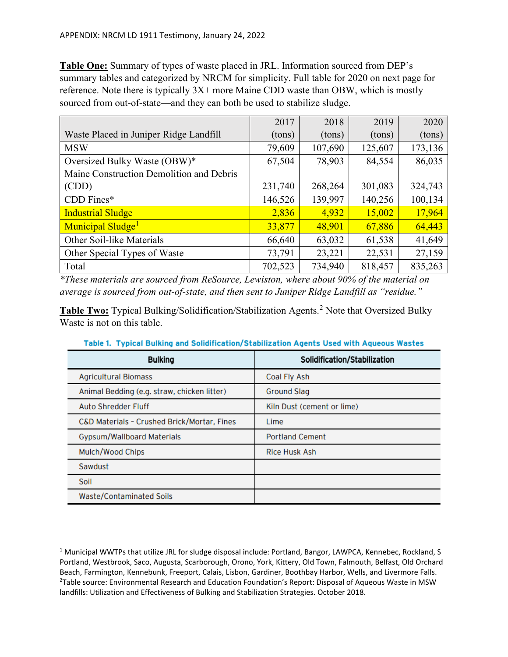**Table One:** Summary of types of waste placed in JRL. Information sourced from DEP's summary tables and categorized by NRCM for simplicity. Full table for 2020 on next page for reference. Note there is typically 3X+ more Maine CDD waste than OBW, which is mostly sourced from out-of-state—and they can both be used to stabilize sludge.

|                                          | 2017    | 2018    | 2019    | 2020    |
|------------------------------------------|---------|---------|---------|---------|
| Waste Placed in Juniper Ridge Landfill   | (tons)  | (tons)  | (tons)  | (tons)  |
| <b>MSW</b>                               | 79,609  | 107,690 | 125,607 | 173,136 |
| Oversized Bulky Waste (OBW)*             | 67,504  | 78,903  | 84,554  | 86,035  |
| Maine Construction Demolition and Debris |         |         |         |         |
| (CDD)                                    | 231,740 | 268,264 | 301,083 | 324,743 |
| $CDD$ Fines*                             | 146,526 | 139,997 | 140,256 | 100,134 |
| <b>Industrial Sludge</b>                 | 2,836   | 4,932   | 15,002  | 17,964  |
| Municipal Sludge <sup>1</sup>            | 33,877  | 48,901  | 67,886  | 64,443  |
| Other Soil-like Materials                | 66,640  | 63,032  | 61,538  | 41,649  |
| Other Special Types of Waste             | 73,791  | 23,221  | 22,531  | 27,159  |
| Total                                    | 702,523 | 734,940 | 818,457 | 835,263 |

*\*These materials are sourced from ReSource, Lewiston, where about 90% of the material on average is sourced from out-of-state, and then sent to Juniper Ridge Landfill as "residue."*

**Table Two:** Typical Bulking/Solidification/Stabilization Agents. [2](#page-0-1) Note that Oversized Bulky Waste is not on this table.

| <b>Bulking</b>                              | Solidification/Stabilization |  |
|---------------------------------------------|------------------------------|--|
| <b>Agricultural Biomass</b>                 | Coal Fly Ash                 |  |
| Animal Bedding (e.g. straw, chicken litter) | <b>Ground Slag</b>           |  |
| Auto Shredder Fluff                         | Kiln Dust (cement or lime)   |  |
| C&D Materials - Crushed Brick/Mortar, Fines | Lime                         |  |
| <b>Gypsum/Wallboard Materials</b>           | <b>Portland Cement</b>       |  |
| Mulch/Wood Chips                            | <b>Rice Husk Ash</b>         |  |
| Sawdust                                     |                              |  |
| Soil                                        |                              |  |
| <b>Waste/Contaminated Soils</b>             |                              |  |

Table 1. Typical Bulking and Solidification/Stabilization Agents Used with Aqueous Wastes

<span id="page-0-1"></span><span id="page-0-0"></span><sup>&</sup>lt;sup>1</sup> Municipal WWTPs that utilize JRL for sludge disposal include: Portland, Bangor, LAWPCA, Kennebec, Rockland, S Portland, Westbrook, Saco, Augusta, Scarborough, Orono, York, Kittery, Old Town, Falmouth, Belfast, Old Orchard Beach, Farmington, Kennebunk, Freeport, Calais, Lisbon, Gardiner, Boothbay Harbor, Wells, and Livermore Falls. 2 <sup>2</sup>Table source: Environmental Research and Education Foundation's Report: Disposal of Aqueous Waste in MSW landfills: Utilization and Effectiveness of Bulking and Stabilization Strategies. October 2018.